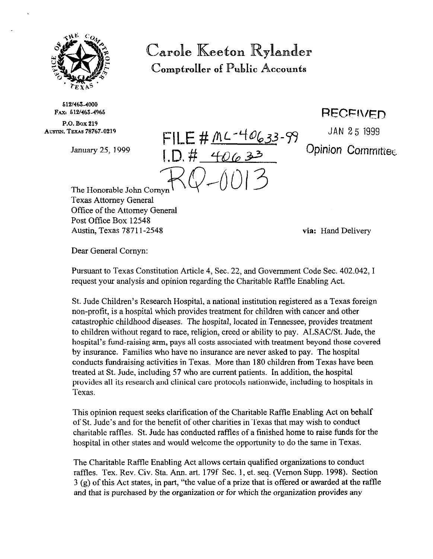

Carole Keeton Rylander Comptroller of Public Accounts

512/463-4000 PAX, 612/463-4965

P.O. Box 219 AUSTIN, TEXAS 78767-0219

fqbE **# AL-LfQ633-79** JAN 25 1999 January 25, 1999 **ID**  $H$   $\angle A \cap \angle B$  **Opinion Committee** 

**RECEIVED** 

The Honorable John Comyn Texas Attorney General Office of the Attorney General Post Office Box 12548 Austin, Texas 7871 l-2548 **via:** Hand Delivery

Dear General Cornyn:

Pursuant to Texas Constitution Article 4, Sec. 22, and Government Code Sec. 402.042, I request your analysis and opinion regarding the Charitable RafIIe Enabling Act.

St. Jude Children's Research Hospital, a national institution registered as a Texas foreign non-profit, is a hospital which provides treatment for children with cancer and other catastrophic childhood diseases. The hospital, located in Tennessee, provides treatment to children without regard to race, religion, creed or ability to pay. ALSAC/St. Jude, the hospital's fund-raising arm, pays all costs associated with treatment beyond those covered by insurance. Families who have no insurance are never asked to pay. The hospital conducts fundraising activities in Texas. More than 180 children from Texas have been treated at St. Jude, including 57 who are current patients. In addition, the hospital provides all its research and clinical care protocols nationwide, including to hospitals in Texas.

This opinion request seeks clarification of the Charitable Raffle Enabling Act on behalf of St. Jude's and for the benefit of other charities in Texas that may wish to conduct charitable raffles. St. Jude has conducted raffles of a finished home to raise funds for the hospital in other states and would welcome the opportunity to do the same in Texas.

The Charitable Raffle Enabling Act allows certain qualified organizations to conduct raffles. Tex. Rev. Civ. Sta. Ann. art. 179f Sec. 1, et. seq. (Vernon Supp. 1998). Section 3 (g) of this Act states, in part, "the value of a prize that is offered or awarded at the raffIe and that is purchased by the organization or for which the organization provides any